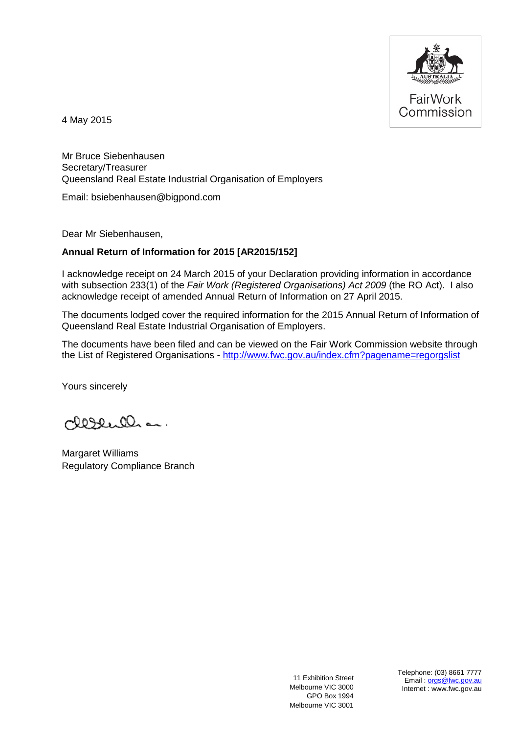

4 May 2015

Mr Bruce Siebenhausen Secretary/Treasurer Queensland Real Estate Industrial Organisation of Employers

Email: bsiebenhausen@bigpond.com

Dear Mr Siebenhausen,

## **Annual Return of Information for 2015 [AR2015/152]**

I acknowledge receipt on 24 March 2015 of your Declaration providing information in accordance with subsection 233(1) of the *Fair Work (Registered Organisations) Act 2009* (the RO Act). I also acknowledge receipt of amended Annual Return of Information on 27 April 2015.

The documents lodged cover the required information for the 2015 Annual Return of Information of Queensland Real Estate Industrial Organisation of Employers.

The documents have been filed and can be viewed on the Fair Work Commission website through the List of Registered Organisations - <http://www.fwc.gov.au/index.cfm?pagename=regorgslist>

Yours sincerely

clesence ...

Margaret Williams Regulatory Compliance Branch

11 Exhibition Street Melbourne VIC 3000 GPO Box 1994 Melbourne VIC 3001

Telephone: (03) 8661 7777 Email [orgs@fwc.gov.au](mailto:orgs@fwc.gov.au) Internet : www.fwc.gov.au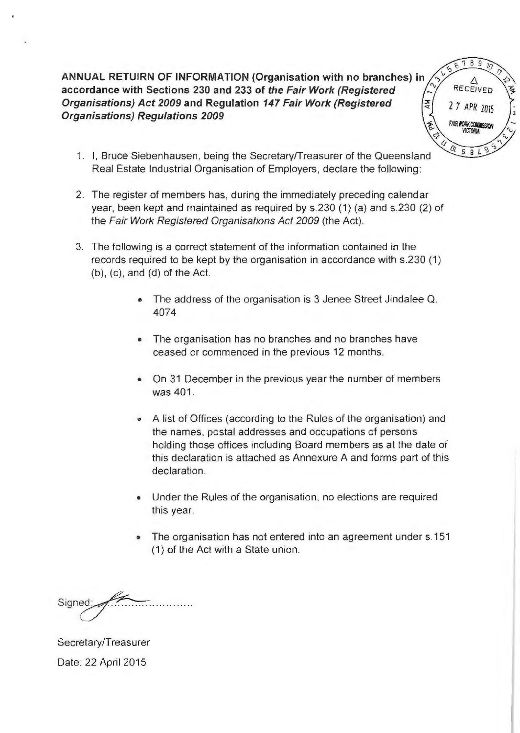**ANNUAL RETUIRN OF INFORMATION (Organisation with no branches) in accordance with Sections 230 and 233 of the Fair Work (Registered Organisations) Act 2009 and Regulation 147 Fair Work (Registered Organisations) Regulations 2009** 

 $7\overline{ }$ 8  $\circ$  $\zeta$  $A$ RECEIVED Ž 2 7 APR Z015 AIR WORK COMMISSION  $69L$ 

- 1. I, Bruce Siebenhausen, being the Secretary/Treasurer of the Queensland Real Estate Industrial Organisation of Employers, declare the following:
- 2. The register of members has, during the immediately preceding calendar year, been kept and maintained as required by s.230 (1) (a) and s.230 (2) of the Fair Work Registered Organisations Act 2009 (the Act).
- 3. The following is a correct statement of the information contained in the records required to be kept by the organisation in accordance with s.230 (1) (b), (c), and (d) of the Act.
	- The address of the organisation is 3 Jenee Street Jindalee Q. 4074
	- The organisation has no branches and no branches have ceased or commenced in the previous 12 months.
	- On 31 December in the previous year the number of members was 401.
	- A list of Offices (according to the Rules of the organisation) and the names, postal addresses and occupations of persons holding those offices including Board members as at the date of this declaration is attached as Annexure A and forms part of this declaration.
	- Under the Rules of the organisation, no elections are required this year.
	- The organisation has not entered into an agreement under s.151 (1) of the Act with a State union.

Signed

Secretary/Treasurer Date: 22 April 2015